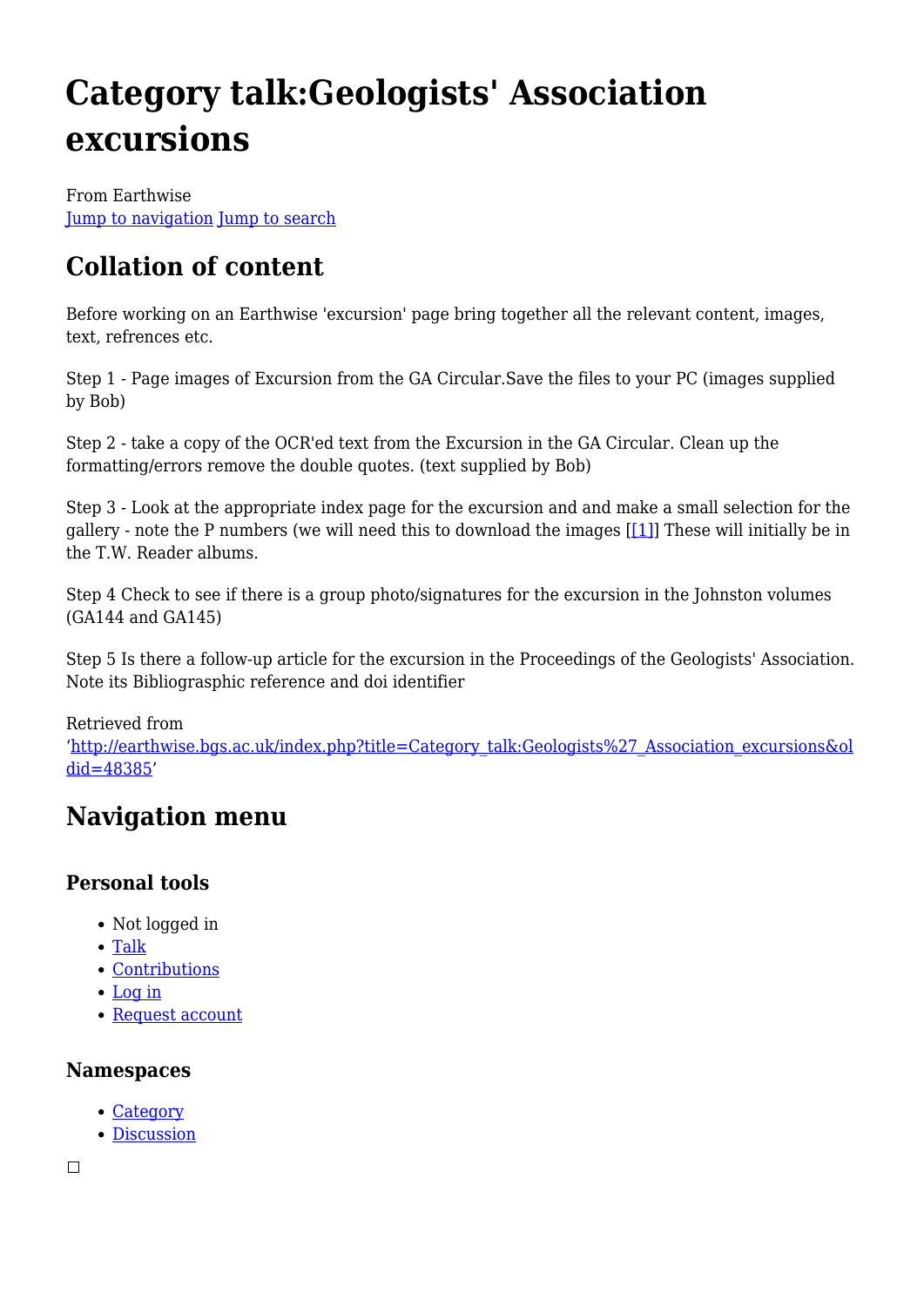# **Category talk:Geologists' Association excursions**

From Earthwise [Jump to navigation](#page--1-0) [Jump to search](#page--1-0)

# **Collation of content**

Before working on an Earthwise 'excursion' page bring together all the relevant content, images, text, refrences etc.

Step 1 - Page images of Excursion from the GA Circular.Save the files to your PC (images supplied by Bob)

Step 2 - take a copy of the OCR'ed text from the Excursion in the GA Circular. Clean up the formatting/errors remove the double quotes. (text supplied by Bob)

Step 3 - Look at the appropriate index page for the excursion and and make a small selection for the gallery - note the P numbers (we will need this to download the images [\[\[1\]](http://earthwise.bgs.ac.uk/index.php/Category:Geologists%27_Association_Carreck_Archive,_indexes)] These will initially be in the T.W. Reader albums.

Step 4 Check to see if there is a group photo/signatures for the excursion in the Johnston volumes (GA144 and GA145)

Step 5 Is there a follow-up article for the excursion in the Proceedings of the Geologists' Association. Note its Bibliograsphic reference and doi identifier

#### Retrieved from

'[http://earthwise.bgs.ac.uk/index.php?title=Category\\_talk:Geologists%27\\_Association\\_excursions&ol](http://earthwise.bgs.ac.uk/index.php?title=Category_talk:Geologists%27_Association_excursions&oldid=48385) [did=48385](http://earthwise.bgs.ac.uk/index.php?title=Category_talk:Geologists%27_Association_excursions&oldid=48385)'

# **Navigation menu**

# **Personal tools**

- Not logged in
- [Talk](http://earthwise.bgs.ac.uk/index.php/Special:MyTalk)
- [Contributions](http://earthwise.bgs.ac.uk/index.php/Special:MyContributions)
- [Log in](http://earthwise.bgs.ac.uk/index.php?title=Special:UserLogin&returnto=Category+talk%3AGeologists%27+Association+excursions&returntoquery=action%3Dmpdf)
- [Request account](http://earthwise.bgs.ac.uk/index.php/Special:RequestAccount)

#### **Namespaces**

- [Category](http://earthwise.bgs.ac.uk/index.php/Category:Geologists%27_Association_excursions)
- [Discussion](http://earthwise.bgs.ac.uk/index.php/Category_talk:Geologists%27_Association_excursions)

 $\Box$